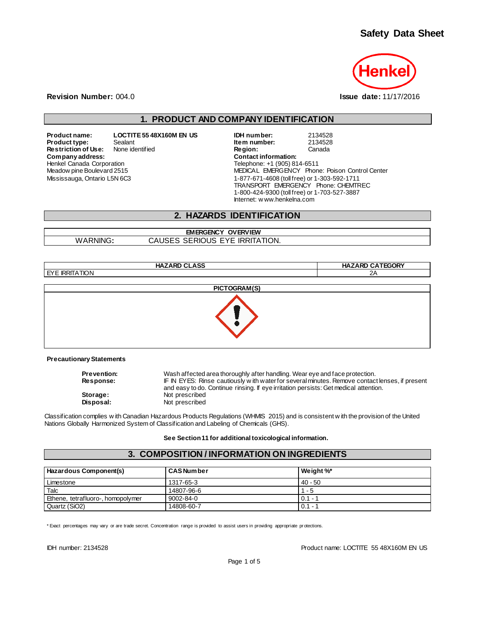

**Revision Number:** 004.0 **Issue date:** 11/17/2016

## **1. PRODUCT AND COMPANY IDENTIFICATION**

**Product name: LOCTITE 55 48X160M EN US IDH number:** 2134528 **Restriction of Use:** None identified **Region:** Region: **Comment Comment Comment Comment Comment Comment Comment Comment Comment Comment Comment Comment Comment Comment Comment Comment Comment Comment Comment Comment Comme**  $Company address:$ Henkel Canada Corporation Meadow pine Boulevard 2515 Mississauga, Ontario L5N 6C3

**Product Sealant Sealant 19 Sealant 19 Sealant 19 Sealant 19 Sealant 19 Sealant 19 Sealant 19 Sealant 19 Sealant 19 Sealant 19 Sealant 19 Sealant 19 Sealant 19 Sealant 19 Sealant 19 Sealant 19 Sealant 19 Sealant 19 Sealant** Telephone: +1 (905) 814-6511 MEDICAL EMERGENCY Phone: Poison Control Center 1-877-671-4608 (toll free) or 1-303-592-1711 TRANSPORT EMERGENCY Phone: CHEMTREC 1-800-424-9300 (toll free) or 1-703-527-3887 Internet: w ww.henkelna.com

## **2. HAZARDS IDENTIFICATION**

**EMERGENCY OVERVIEW** WARNING**:** CAUSES SERIOUS EYE IRRITATION.

| <b>HAZARD CLASS</b> | <b>HAZARD CATEGORY</b> |
|---------------------|------------------------|
| EYE IRRITATION      | 2A                     |
|                     | PICTOGRAM(S)           |
|                     |                        |

**Precautionary Statements**

| <b>Prevention:</b> | Wash affected area thoroughly after handling. Wear eye and face protection.                    |
|--------------------|------------------------------------------------------------------------------------------------|
| <b>Response:</b>   | IF IN EYES: Rinse cautiously with water for several minutes. Remove contact lenses, if present |
|                    | and easy to do. Continue rinsing. If eye irritation persists: Get medical attention.           |
| Storage:           | Not prescribed                                                                                 |
| Disposal:          | Not prescribed                                                                                 |

Classification complies w ith Canadian Hazardous Products Regulations (WHMIS 2015) and is consistent w ith the provision of the United Nations Globally Harmonized System of Classification and Labeling of Chemicals (GHS).

**See Section 11 for additional toxicological information.**

## **3. COMPOSITION / INFORMATION ON INGREDIENTS**

| Hazardous Component(s)            | <b>CAS Number</b> | Weight %* |
|-----------------------------------|-------------------|-----------|
| Limestone                         | 1317-65-3         | $40 - 50$ |
| Talc                              | 14807-96-6        | $1 - 5$   |
| Ethene, tetrafluoro-, homopolymer | 9002-84-0         | $0.1 -$   |
| Quartz (SiO2)                     | 14808-60-7        | $0.1 -$   |

\* Exact percentages may vary or are trade secret. Concentration range is provided to assist users in providing appropriate pr otections.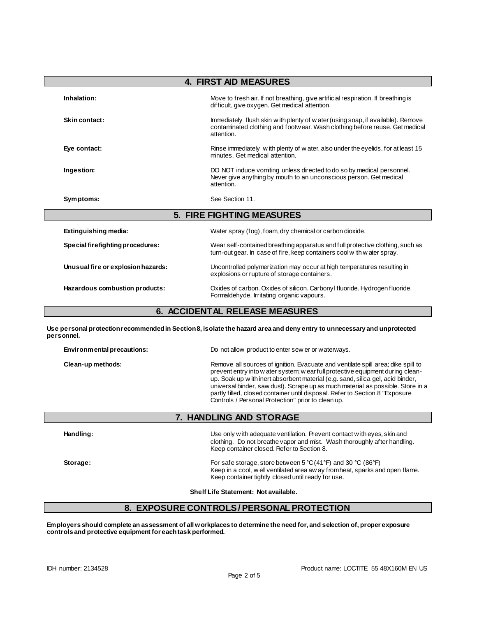| <b>4. FIRST AID MEASURES</b>       |                                                                                                                                                                               |  |
|------------------------------------|-------------------------------------------------------------------------------------------------------------------------------------------------------------------------------|--|
| Inhalation:                        | Move to fresh air. If not breathing, give artificial respiration. If breathing is<br>difficult, give oxygen. Get medical attention.                                           |  |
| Skin contact:                      | Immediately flush skin w ith plenty of w ater (using soap, if available). Remove<br>contaminated clothing and footwear. Wash clothing before reuse. Get medical<br>attention. |  |
| Eye contact:                       | Rinse immediately with plenty of water, also under the eyelids, for at least 15<br>minutes. Get medical attention.                                                            |  |
| Ingestion:                         | DO NOT induce vomiting unless directed to do so by medical personnel.<br>Never give anything by mouth to an unconscious person. Get medical<br>attention.                     |  |
| Symptoms:                          | See Section 11.                                                                                                                                                               |  |
|                                    | <b>5. FIRE FIGHTING MEASURES</b>                                                                                                                                              |  |
| Extinguishing media:               | Water spray (fog), foam, dry chemical or carbon dioxide.                                                                                                                      |  |
| Special firefighting procedures:   | Wear self-contained breathing apparatus and full protective clothing, such as<br>turn-out gear. In case of fire, keep containers cool with water spray.                       |  |
| Unusual fire or explosion hazards: | Uncontrolled polymerization may occur at high temperatures resulting in<br>explosions or rupture of storage containers.                                                       |  |
| Hazardous combustion products:     | Oxides of carbon. Oxides of silicon. Carbonyl fluoride. Hydrogen fluoride.<br>Formaldehyde. Irritating organic vapours.                                                       |  |

## **6. ACCIDENTAL RELEASE MEASURES**

**Use personal protection recommended in Section 8, isolate the hazard area and deny entry to unnecessary and unprotected personnel.**

| Environmental precautions: | Do not allow product to enter sew er or waterways.                                                                                                                                                                                                                                                                                                                                                                                                                               |  |
|----------------------------|----------------------------------------------------------------------------------------------------------------------------------------------------------------------------------------------------------------------------------------------------------------------------------------------------------------------------------------------------------------------------------------------------------------------------------------------------------------------------------|--|
| Clean-up methods:          | Remove all sources of ignition. Evacuate and ventilate spill area; dike spill to<br>prevent entry into w ater system; w ear full protective equipment during clean-<br>up. Soak up w ith inert absorbent material (e.g. sand, silica gel, acid binder,<br>universal binder, saw dust). Scrape up as much material as possible. Store in a<br>partly filled, closed container until disposal. Refer to Section 8 "Exposure"<br>Controls / Personal Protection" prior to clean up. |  |

## **7. HANDLING AND STORAGE**

| Handling: | Use only w ith adequate ventilation. Prevent contact w ith eyes, skin and<br>clothing. Do not breathe vapor and mist. Wash thoroughly after handling.<br>Keep container closed. Refer to Section 8.                                      |
|-----------|------------------------------------------------------------------------------------------------------------------------------------------------------------------------------------------------------------------------------------------|
| Storage:  | For safe storage, store between 5 $\degree$ C(41 $\degree$ F) and 30 $\degree$ C (86 $\degree$ F)<br>Keep in a cool, w ell ventilated area aw ay from heat, sparks and open flame.<br>Keep container tightly closed until ready for use. |

**Shelf Life Statement: Not available.**

## **8. EXPOSURE CONTROLS / PERSONAL PROTECTION**

**Employers should complete an assessment of all workplaces to determine the need for, and selection of, proper exposure controls and protective equipment for each task performed.**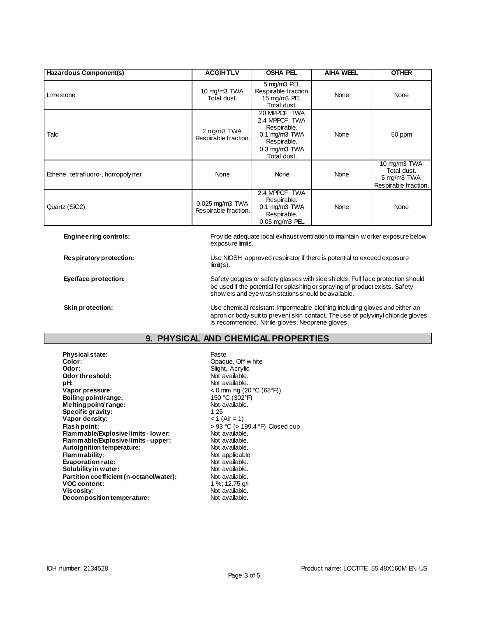| Hazardous Component(s)            | <b>ACGIHTLV</b>                         | <b>OSHA PEL</b>                                                                                                                                                                                                        | <b>AIHA WEEL</b> | <b>OTHER</b>                                                       |
|-----------------------------------|-----------------------------------------|------------------------------------------------------------------------------------------------------------------------------------------------------------------------------------------------------------------------|------------------|--------------------------------------------------------------------|
| Limestone                         | 10 mg/m3 TWA<br>Total dust.             | 5 mg/m3 PEL<br>Respirable fraction.<br>15 mg/m3 PEL<br>Total dust.                                                                                                                                                     | None             | None                                                               |
| Talc                              | 2 mg/m3 TWA<br>Respirable fraction.     | 20 MPPCF TWA<br>2.4 MPPCF TWA<br>Respirable.<br>$0.1$ mg/m $3$ TWA<br>Respirable.<br>$0.3$ mg/m $3$ TWA<br>Total dust.                                                                                                 | None             | 50 ppm                                                             |
| Ethene, tetrafluoro-, homopolymer | None                                    | None                                                                                                                                                                                                                   | None             | 10 mg/m3 TWA<br>Total dust.<br>5 mg/m3 TWA<br>Respirable fraction. |
| Quartz (SiO2)                     | 0.025 mg/m3 TWA<br>Respirable fraction. | 2.4 MPPCF TWA<br>Respirable.<br>$0.1$ mg/m $3$ TWA<br>Respirable.<br>0.05 mg/m3 PEL                                                                                                                                    | None             | None                                                               |
| <b>Engineering controls:</b>      |                                         | Provide adequate local exhaust ventilation to maintain w orker exposure below<br>exposure limits.                                                                                                                      |                  |                                                                    |
| Respiratory protection:           | $limit(s)$ .                            | Use NIOSH approved respirator if there is potential to exceed exposure                                                                                                                                                 |                  |                                                                    |
| Eye/face protection:              |                                         | Safety goggles or safety glasses with side shields. Full face protection should<br>be used if the potential for splashing or spraying of product exists. Safety<br>show ers and eye wash stations should be available. |                  |                                                                    |
| <b>Skin protection:</b>           |                                         | Use chemical resistant, impermeable clothing including gloves and either an                                                                                                                                            |                  |                                                                    |

apron or body suit to prevent skin contact. The use of polyvinyl chloride gloves is recommended. Nitrile gloves. Neoprene gloves.

## **9. PHYSICAL AND CHEMICAL PROPERTIES**

**Physical state:** Paste Color: Paste Color: Paste Color: Paste Paste Paste Paste Paste Paste Paste Paste Paste Paste Paste Paste Paste Paste Paste Paste Paste Paste Paste Paste Paste Paste Paste Paste Paste Paste Paste Pas **Color:** Color: Color: Color: Color: Color: Color: Color: Color: Color: Color: Color: Color: Color: Color: Color: Color: Color: Color: Color: Color: Color: Color: Color: Color: Color: Color: Color: Color: Color: Color: Col **Odor threshold:** Not available.<br> **pH:** Not available. pH:<br>Vapor pressure: **Boiling point/range:** 150 °C (302°F)<br> **Melting point/range:** 150 °C (302°F) **Melting point/ range:** Not and Not available.<br> **Specific gravity:** 1.25 **Specific gravity:** 1.25<br> **Vapor density:**  $\times 1 (\text{Air} = 1)$ **Vapor density:**<br>
Flash point:<br>
Flash point:<br>  $\begin{aligned} & 0.93 \text{ °C} & (> 199.4 \text{ °F}) \text{ Closed cup} \\ & (> 93 \text{ °C}) \end{aligned}$ **Flash point:** > 93 °C (> 199.4 °F) Closed cup **Flam mable/Explosive limits - lower:** Not available. **Flammable/Explosive limits - upper:** Not available.<br> **Autoignition temperature:** Not available. **Autoignition temperature:** Not available.<br> **Flammability:** Not applicable. **Flammability:**<br> **Evaporation rate:**<br>
Not available. **Evaporation rate:**<br> **Solubility in water:** Not available.<br>
Not available. **Solubility in water: Partition coefficient (n-octanol/water):** Not available.<br>VOC content: 1 %; 12.75 g/l **VOC content: Viscosity:** Not available.<br> **Decomposition temperature:** Not available. **Decomposition temperature:** 

**Odor:** Slight, Acrylic **Vapor pressure:** < 0 mm hg (20 °C (68°F))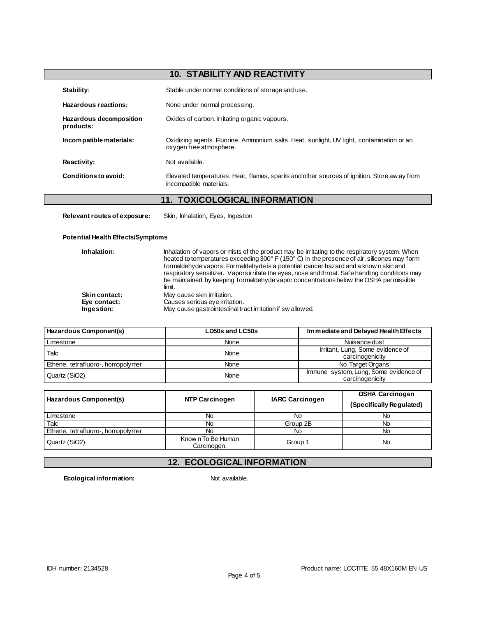# **10. STABILITY AND REACTIVITY**

| Stability:                           | Stable under normal conditions of storage and use.                                                                     |
|--------------------------------------|------------------------------------------------------------------------------------------------------------------------|
| Hazardous reactions:                 | None under normal processing.                                                                                          |
| Hazardous decomposition<br>products: | Oxides of carbon. Irritating organic vapours.                                                                          |
| Incompatible materials:              | Oxidizing agents. Fluorine. Ammonium salts. Heat, sunlight, UV light, contamination or an<br>oxygen free atmosphere.   |
| <b>Reactivity:</b>                   | Not available.                                                                                                         |
| Conditions to avoid:                 | Elevated temperatures. Heat, flames, sparks and other sources of ignition. Store aw ay from<br>incompatible materials. |

# **11. TOXICOLOGICAL INFORMATION**

**Relevant routes of exposure:** Skin, Inhalation, Eyes, Ingestion

#### **Potential Health Effects/Symptoms**

| Inhalation:   | Inhalation of vapors or mists of the product may be irritating to the respiratory system. When<br>heated to temperatures exceeding 300° F (150° C) in the presence of air, silicones may form<br>formaldehyde vapors. Formaldehyde is a potential cancer hazard and a know n skin and<br>respiratory sensitizer. Vapors irritate the eyes, nose and throat. Safe handling conditions may<br>be maintained by keeping formaldehyde vapor concentrations below the OSHA permissible<br>limit. |
|---------------|---------------------------------------------------------------------------------------------------------------------------------------------------------------------------------------------------------------------------------------------------------------------------------------------------------------------------------------------------------------------------------------------------------------------------------------------------------------------------------------------|
| Skin contact: | May cause skin irritation.                                                                                                                                                                                                                                                                                                                                                                                                                                                                  |
| Eve contact:  | Causes serious eye irritation.                                                                                                                                                                                                                                                                                                                                                                                                                                                              |
| Ingestion:    | May cause gastrointestinal tract irritation if swallowed.                                                                                                                                                                                                                                                                                                                                                                                                                                   |

| Hazardous Component(s)            | LD50s and LC50s | Immediate and Delayed Health Effects                     |
|-----------------------------------|-----------------|----------------------------------------------------------|
| Limestone                         | None            | Nuisance dust                                            |
| Talc                              | None            | Irritant, Lung, Some evidence of<br>carcinogenicity      |
| Ethene, tetrafluoro-, homopolymer | <b>None</b>     | No Target Organs                                         |
| Quartz (SiO2)                     | None            | Immune system, Lung, Some evidence of<br>carcinogenicity |

| Hazardous Component(s)            | <b>NTP Carcinogen</b>            | <b>IARC Carcinogen</b> | <b>OSHA Carcinogen</b><br>(Specifically Regulated) |
|-----------------------------------|----------------------------------|------------------------|----------------------------------------------------|
| Limestone                         | Νo                               | No                     | No                                                 |
| Talc                              | Νo                               | Group 2B               | No                                                 |
| Ethene, tetrafluoro-, homopolymer | Nο                               | No                     | No                                                 |
| Quartz (SiO2)                     | Known To Be Human<br>Carcinogen. | Group 1                | No                                                 |

# **12. ECOLOGICAL INFORMATION**

**Ecological information:** Not available.